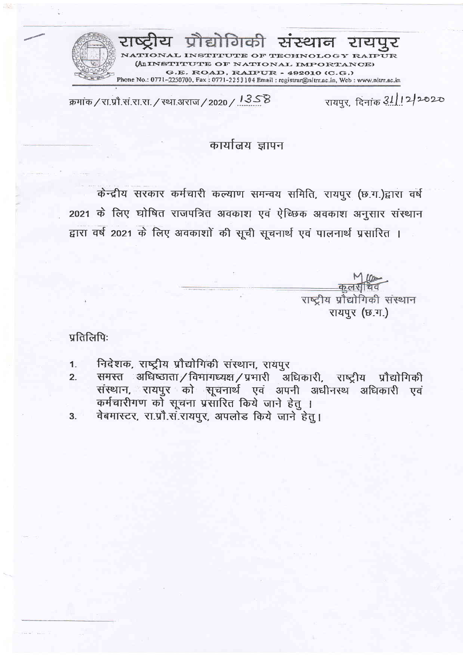प्रौद्योगिकी संस्थान रायपुर INSTITUTE OF TECHNOLOGY R **ITUTE OF NATIONAL IMPORTANCE)** G.E. ROAD, RAIPUR - 492010 (C.G.) Phone No.: 0771-2250700, Fax: 0771-2253104 Email: registrar@nitrr.ac.in, Web: www.nitrr.ac.in

रायपुर, दिनांक 31/12/2020 क्रमांक / रा.प्रौ.स.रा.रा. / स्था.अराज / 2020 / 13S B

## कार्यालय ज्ञापन

केन्द्रीय सरकार कर्मचारी कल्याण समन्वय समिति, रायपुर (छ.ग.)द्वारा वर्ष 2021 के लिए घोषित राजपत्रित अवकाश एवं ऐच्छिक अवकाश अनुसार संस्थान द्वारा वर्ष 2021 के लिए अवकाशों की सूची सूचनार्थ एवं पालनार्थ प्रसारित ।

> कलर राष्ट्रीय प्रौद्योगिकी संस्थान रायपुर (छ.ग.)

प्रतिलिपिः

- निदेशक, राष्ट्रीय प्रौद्योगिकी संस्थान, रायपुर  $1<sub>1</sub>$
- समस्त अधिष्ठाता/विभागध्यक्ष/प्रभारी अधिकारी, राष्ट्रीय प्रौद्योगिकी<br>संस्थान, रायपुर को सूचनार्थ एवं अपनी अधीनस्थ अधिकारी एवं  $2.$ कर्मचारीगण को सूचना प्रसारित किये जाने हेतु ।<br>वेबमास्टर, रा.प्रौ.स.रायपुर, अपलोड किये जाने हेतु ।
- $3<sub>1</sub>$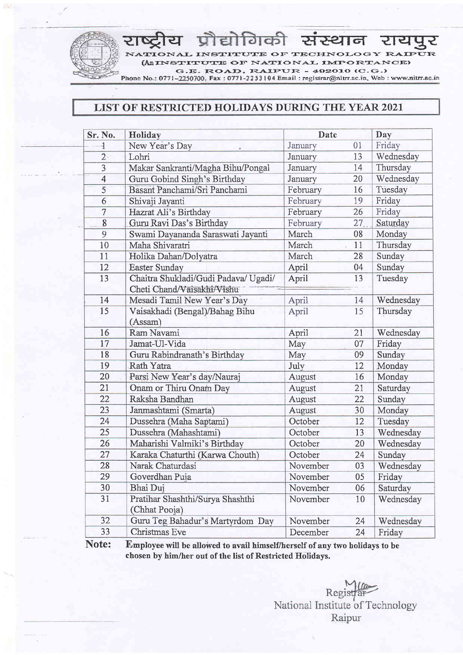lगैकी संस्थान रायपुर<br>IEE OFFECHNOLOGY EAFETE  ${\bf TIONAL}$  INSTITUTE OF TECHNOLOGY RAIP (AIINSTITUTE OF NATIONAL IMPORTANCE) G.E. ROAD, RAIPUR -  $492010(C.G.)$ <br>Phone No.: 0771-2250700, Fax : 0771-2253104 Email : registrar@nitrr.ac.in, Web : www.nitrr.ac.in

## LIST OF RESTRICTED HOLIDAYS DURING THE YEAR 2021

| Sr. No.        | Holiday                                                            | Date     |    | Day       |
|----------------|--------------------------------------------------------------------|----------|----|-----------|
| 1              | New Year's Day                                                     | January  | 01 | Friday    |
| 2 <sup>1</sup> | Lohri                                                              | January  | 13 | Wednesday |
| $\overline{3}$ | Makar Sankranti/Magha Bihu/Pongal                                  | January  | 14 | Thursday  |
| $\overline{4}$ | Guru Gobind Singh's Birthday                                       | January  | 20 | Wednesday |
| 5              | Basant Panchami/Sri Panchami                                       | February | 16 | Tuesday   |
| 6              | Shivaji Jayanti                                                    | February | 19 | Friday    |
| $\overline{7}$ | Hazrat Ali's Birthday                                              | February | 26 | Friday    |
| 8              | Guru Ravi Das's Birthday                                           | February | 27 | Saturday  |
| 9              | Swami Dayananda Saraswati Jayanti                                  | March    | 08 | Monday    |
| 10             | Maha Shivaratri                                                    | March    | 11 | Thursday  |
| 11             | Holika Dahan/Dolyatra                                              | March    | 28 | Sunday    |
| 12             | Easter Sunday                                                      | April    | 04 | Sunday    |
| 13             | Chaitra Shukladi/Gudi Padava/ Ugadi/<br>Cheti Chand Vaisakhi Vishu | April    | 13 | Tuesday   |
| 14             | Mesadi Tamil New Year's Day                                        | April    | 14 | Wednesday |
| 15             | Vaisakhadi (Bengal)/Bahag Bihu<br>(Assam)                          | April    | 15 | Thursday  |
| 16             | Ram Navami                                                         | April    | 21 | Wednesday |
| 17             | Jamat-Ul-Vida                                                      | May      | 07 | Friday    |
| 18             | Guru Rabindranath's Birthday                                       | May      | 09 | Sunday    |
| 19             | Rath Yatra                                                         | July     | 12 | Monday    |
| 20             | Parsi New Year's day/Nauraj                                        | August   | 16 | Monday    |
| 21             | Onam or Thiru Onam Day                                             | August   | 21 | Saturday  |
| 22             | Raksha Bandhan                                                     | August   | 22 | Sunday    |
| 23             | Janmashtami (Smarta)                                               | August   | 30 | Monday    |
| 24             | Dussehra (Maha Saptami)                                            | October  | 12 | Tuesday   |
| 25             | Dussehra (Mahashtami)                                              | October  | 13 | Wednesday |
| 26             | Maharishi Valmiki's Birthday                                       | October  | 20 | Wednesday |
| 27             | Karaka Chaturthi (Karwa Chouth)                                    | October  | 24 | Sunday    |
| 28             | Narak Chaturdasi                                                   | November | 03 | Wednesday |
| 29             | Goverdhan Puja                                                     | November | 05 | Friday    |
| 30             | Bhai Duj                                                           | November | 06 | Saturday  |
| 31             | Pratihar Shashthi/Surya Shashthi<br>(Chhat Pooja)                  | November | 10 | Wednesday |
| 32             | Guru Teg Bahadur's Martyrdom Day                                   | November | 24 | Wednesday |
| 33             | Christmas Eve                                                      | December | 24 | Friday    |

Note: Employee will be allowed to avail himself/herself of any two holidays to be chosen by him/her out of the list of Restricted Holidavs.

> Registra National Institute of Technology Raipur